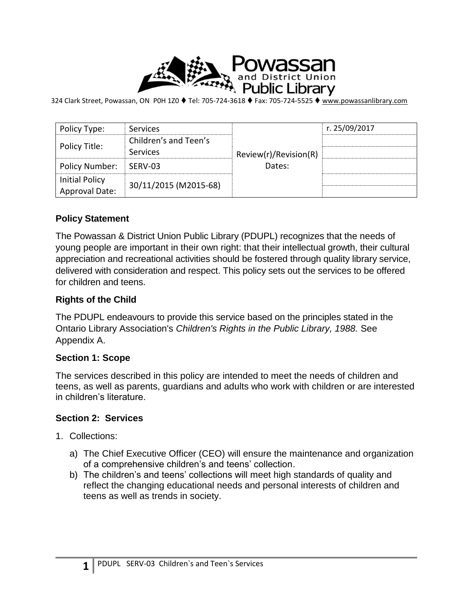

324 Clark Street, Powassan, ON P0H 1Z0 ♦ Tel: 705-724-3618 ♦ Fax: 705-724-5525 ♦ [www.powassanlibrary.com](http://www.powassanlibrary.com/)

| Policy Type:                            | Services                          | Review(r)/Revision(R)<br>Dates: | r. 25/09/2017 |
|-----------------------------------------|-----------------------------------|---------------------------------|---------------|
| Policy Title:                           | Children's and Teen's<br>Services |                                 |               |
| Policy Number:                          | SERV-03                           |                                 |               |
| <b>Initial Policy</b><br>Approval Date: | 30/11/2015 (M2015-68)             |                                 |               |

### **Policy Statement**

The Powassan & District Union Public Library (PDUPL) recognizes that the needs of young people are important in their own right: that their intellectual growth, their cultural appreciation and recreational activities should be fostered through quality library service, delivered with consideration and respect. This policy sets out the services to be offered for children and teens.

#### **Rights of the Child**

The PDUPL endeavours to provide this service based on the principles stated in the Ontario Library Association's *Children's Rights in the Public Library, 1988.* See Appendix A.

#### **Section 1: Scope**

The services described in this policy are intended to meet the needs of children and teens, as well as parents, guardians and adults who work with children or are interested in children's literature.

### **Section 2: Services**

- 1. Collections:
	- a) The Chief Executive Officer (CEO) will ensure the maintenance and organization of a comprehensive children's and teens' collection.
	- b) The children's and teens' collections will meet high standards of quality and reflect the changing educational needs and personal interests of children and teens as well as trends in society.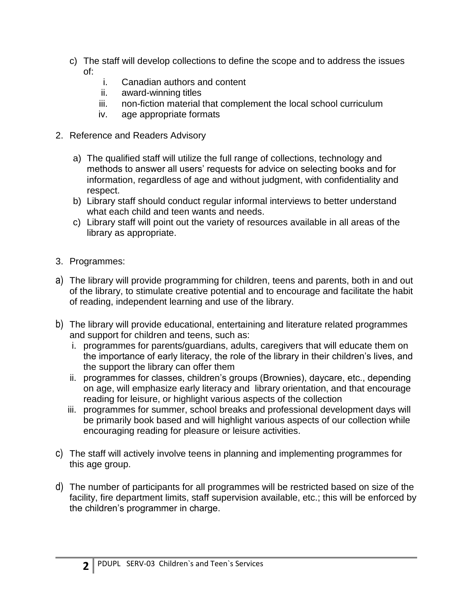- c) The staff will develop collections to define the scope and to address the issues of:
	- i. Canadian authors and content
	- ii. award-winning titles
	- iii. non-fiction material that complement the local school curriculum
	- iv. age appropriate formats
- 2. Reference and Readers Advisory
	- a) The qualified staff will utilize the full range of collections, technology and methods to answer all users' requests for advice on selecting books and for information, regardless of age and without judgment, with confidentiality and respect.
	- b) Library staff should conduct regular informal interviews to better understand what each child and teen wants and needs.
	- c) Library staff will point out the variety of resources available in all areas of the library as appropriate.
- 3. Programmes:
- a) The library will provide programming for children, teens and parents, both in and out of the library, to stimulate creative potential and to encourage and facilitate the habit of reading, independent learning and use of the library.
- b) The library will provide educational, entertaining and literature related programmes and support for children and teens, such as:
	- i. programmes for parents/guardians, adults, caregivers that will educate them on the importance of early literacy, the role of the library in their children's lives, and the support the library can offer them
	- ii. programmes for classes, children's groups (Brownies), daycare, etc., depending on age, will emphasize early literacy and library orientation, and that encourage reading for leisure, or highlight various aspects of the collection
	- iii. programmes for summer, school breaks and professional development days will be primarily book based and will highlight various aspects of our collection while encouraging reading for pleasure or leisure activities.
- c) The staff will actively involve teens in planning and implementing programmes for this age group.
- d) The number of participants for all programmes will be restricted based on size of the facility, fire department limits, staff supervision available, etc.; this will be enforced by the children's programmer in charge.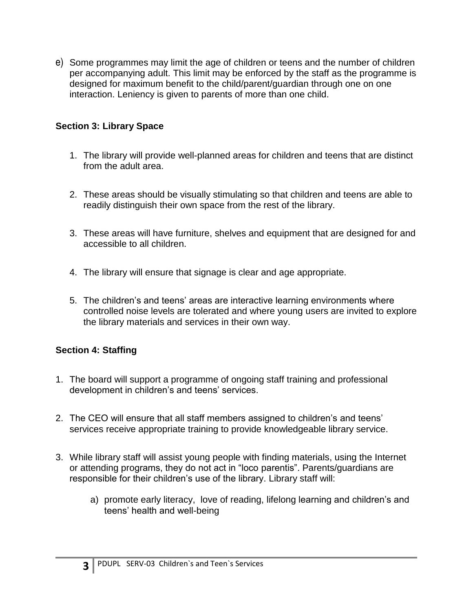e) Some programmes may limit the age of children or teens and the number of children per accompanying adult. This limit may be enforced by the staff as the programme is designed for maximum benefit to the child/parent/guardian through one on one interaction. Leniency is given to parents of more than one child.

## **Section 3: Library Space**

- 1. The library will provide well-planned areas for children and teens that are distinct from the adult area.
- 2. These areas should be visually stimulating so that children and teens are able to readily distinguish their own space from the rest of the library.
- 3. These areas will have furniture, shelves and equipment that are designed for and accessible to all children.
- 4. The library will ensure that signage is clear and age appropriate.
- 5. The children's and teens' areas are interactive learning environments where controlled noise levels are tolerated and where young users are invited to explore the library materials and services in their own way.

## **Section 4: Staffing**

- 1. The board will support a programme of ongoing staff training and professional development in children's and teens' services.
- 2. The CEO will ensure that all staff members assigned to children's and teens' services receive appropriate training to provide knowledgeable library service.
- 3. While library staff will assist young people with finding materials, using the Internet or attending programs, they do not act in "loco parentis". Parents/guardians are responsible for their children's use of the library. Library staff will:
	- a) promote early literacy, love of reading, lifelong learning and children's and teens' health and well-being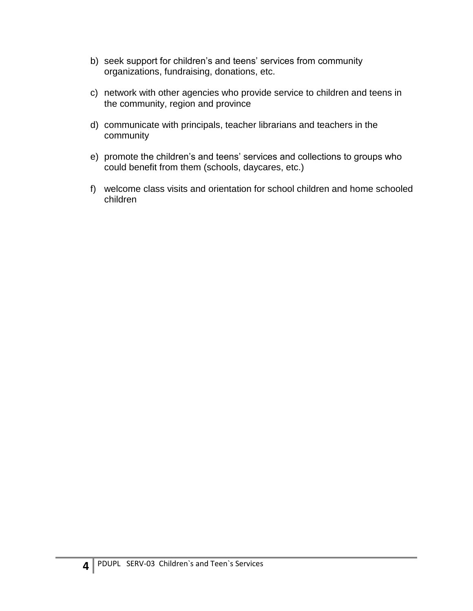- b) seek support for children's and teens' services from community organizations, fundraising, donations, etc.
- c) network with other agencies who provide service to children and teens in the community, region and province
- d) communicate with principals, teacher librarians and teachers in the community
- e) promote the children's and teens' services and collections to groups who could benefit from them (schools, daycares, etc.)
- f) welcome class visits and orientation for school children and home schooled children